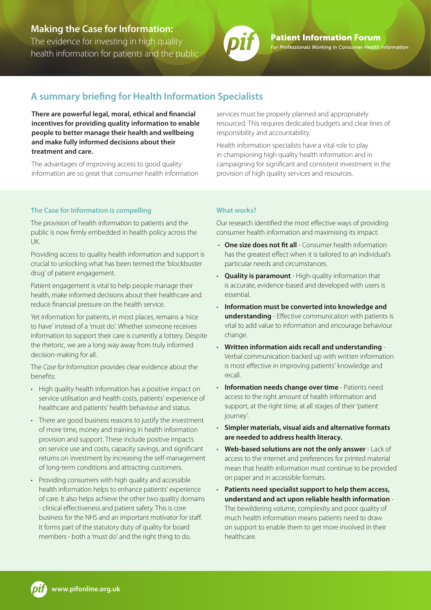## **Making the Case for Information:**

The evidence for investing in high quality health information for patients and the public



**Patient Information Forum** For Professionals Working in Consumer Health Information

# **A summary briefing for Health Information Specialists**

**There are powerful legal, moral, ethical and financial incentives for providing quality information to enable people to better manage their health and wellbeing and make fully informed decisions about their treatment and care.** 

The advantages of improving access to good quality information are so great that consumer health information

#### **The Case for Information is compelling**

The provision of health information to patients and the public is now firmly embedded in health policy across the UK.

Providing access to quality health information and support is crucial to unlocking what has been termed the 'blockbuster drug' of patient engagement.

Patient engagement is vital to help people manage their health, make informed decisions about their healthcare and reduce financial pressure on the health service.

Yet information for patients, in most places, remains a 'nice to have' instead of a 'must do'. Whether someone receives information to support their care is currently a lottery. Despite the rhetoric, we are a long way away from truly informed decision-making for all.

The *Case for Information* provides clear evidence about the benefits:

- High quality health information has a positive impact on service utilisation and health costs, patients' experience of healthcare and patients' health behaviour and status.
- There are good business reasons to justify the investment of more time, money and training in health information provision and support. These include positive impacts on service use and costs, capacity savings, and significant returns on investment by increasing the self-management of long-term conditions and attracting customers.
- Providing consumers with high quality and accessible health information helps to enhance patients' experience of care. It also helps achieve the other two quality domains - clinical effectiveness and patient safety. This is core business for the NHS and an important motivator for staff. It forms part of the statutory duty of quality for board members - both a 'must do' and the right thing to do.

services must be properly planned and appropriately resourced. This requires dedicated budgets and clear lines of responsibility and accountability.

Health information specialists have a vital role to play in championing high quality health information and in campaigning for significant and consistent investment in the provision of high quality services and resources.

#### **What works?**

Our research identified the most effective ways of providing consumer health information and maximising its impact:

- **One size does not fit all** Consumer health information has the greatest effect when it is tailored to an individual's particular needs and circumstances.
- **Quality is paramount** High-quality information that is accurate, evidence-based and developed with users is essential.
- **Information must be converted into knowledge and understanding** - Effective communication with patients is vital to add value to information and encourage behaviour change.
- **Written information aids recall and understanding** Verbal communication backed up with written information is most effective in improving patients' knowledge and recall.
- **Information needs change over time** Patients need access to the right amount of health information and support, at the right time, at all stages of their 'patient journey'.
- **Simpler materials, visual aids and alternative formats are needed to address health literacy.**
- **Web-based solutions are not the only answer** Lack of access to the internet and preferences for printed material mean that health information must continue to be provided on paper and in accessible formats.
- **Patients need specialist support to help them access, understand and act upon reliable health information** - The bewildering volume, complexity and poor quality of much health information means patients need to draw on support to enable them to get more involved in their healthcare.